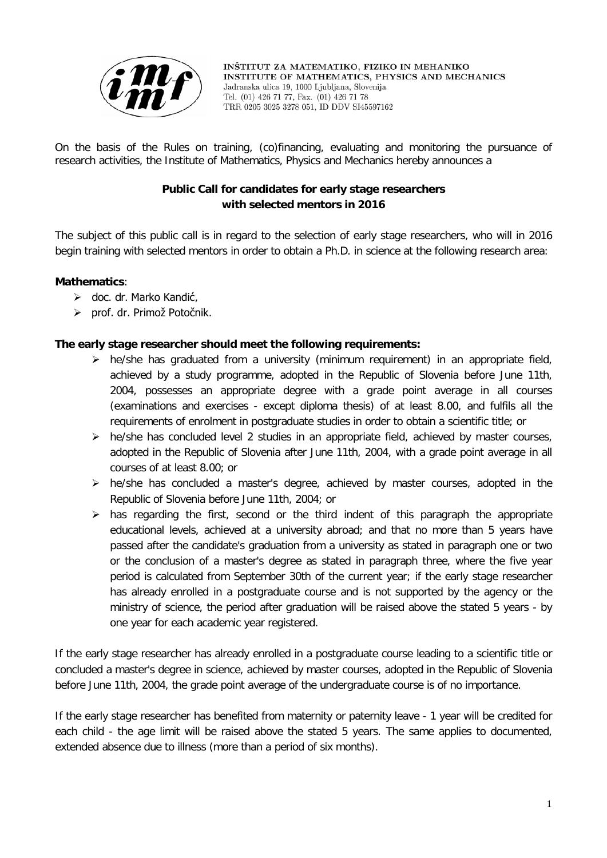

INŠTITUT ZA MATEMATIKO, FIZIKO IN MEHANIKO INSTITUTE OF MATHEMATICS, PHYSICS AND MECHANICS Jadranska ulica 19, 1000 Liubliana, Slovenija Tel. (01) 426 71 77, Fax. (01) 426 71 78 TRR 0205 3025 3278 051, ID DDV SI45597162

On the basis of the Rules on training, (co)financing, evaluating and monitoring the pursuance of research activities, the Institute of Mathematics, Physics and Mechanics hereby announces a

# **Public Call for candidates for early stage researchers with selected mentors in 2016**

The subject of this public call is in regard to the selection of early stage researchers, who will in 2016 begin training with selected mentors in order to obtain a Ph.D. in science at the following research area:

## **Mathematics**:

- doc. dr. Marko Kandić,
- prof. dr. Primož Potočnik.

## **The early stage researcher should meet the following requirements:**

- $\triangleright$  he/she has graduated from a university (minimum requirement) in an appropriate field, achieved by a study programme, adopted in the Republic of Slovenia before June 11th, 2004, possesses an appropriate degree with a grade point average in all courses (examinations and exercises - except diploma thesis) of at least 8.00, and fulfils all the requirements of enrolment in postgraduate studies in order to obtain a scientific title; or
- $\triangleright$  he/she has concluded level 2 studies in an appropriate field, achieved by master courses, adopted in the Republic of Slovenia after June 11th, 2004, with a grade point average in all courses of at least 8.00; or
- $\triangleright$  he/she has concluded a master's degree, achieved by master courses, adopted in the Republic of Slovenia before June 11th, 2004; or
- $\triangleright$  has regarding the first, second or the third indent of this paragraph the appropriate educational levels, achieved at a university abroad; and that no more than 5 years have passed after the candidate's graduation from a university as stated in paragraph one or two or the conclusion of a master's degree as stated in paragraph three, where the five year period is calculated from September 30th of the current year; if the early stage researcher has already enrolled in a postgraduate course and is not supported by the agency or the ministry of science, the period after graduation will be raised above the stated 5 years - by one year for each academic year registered.

If the early stage researcher has already enrolled in a postgraduate course leading to a scientific title or concluded a master's degree in science, achieved by master courses, adopted in the Republic of Slovenia before June 11th, 2004, the grade point average of the undergraduate course is of no importance.

If the early stage researcher has benefited from maternity or paternity leave - 1 year will be credited for each child - the age limit will be raised above the stated 5 years. The same applies to documented, extended absence due to illness (more than a period of six months).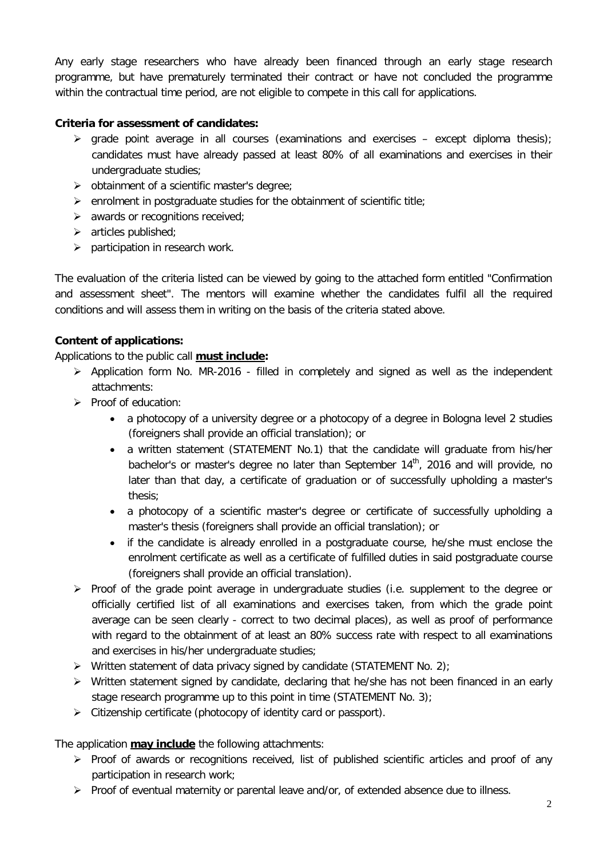Any early stage researchers who have already been financed through an early stage research programme, but have prematurely terminated their contract or have not concluded the programme within the contractual time period, are not eligible to compete in this call for applications.

## **Criteria for assessment of candidates:**

- $\triangleright$  grade point average in all courses (examinations and exercises except diploma thesis); candidates must have already passed at least 80% of all examinations and exercises in their undergraduate studies;
- $\triangleright$  obtainment of a scientific master's degree:
- $\triangleright$  enrolment in postgraduate studies for the obtainment of scientific title;
- $\triangleright$  awards or recognitions received;
- $\triangleright$  articles published;
- $\triangleright$  participation in research work.

The evaluation of the criteria listed can be viewed by going to the attached form entitled "Confirmation and assessment sheet". The mentors will examine whether the candidates fulfil all the required conditions and will assess them in writing on the basis of the criteria stated above.

### **Content of applications:**

Applications to the public call **must include:**

- $\triangleright$  Application form No. MR-2016 filled in completely and signed as well as the independent attachments:
- $\triangleright$  Proof of education:
	- a photocopy of a university degree or a photocopy of a degree in Bologna level 2 studies (foreigners shall provide an official translation); or
	- a written statement (STATEMENT No.1) that the candidate will graduate from his/her bachelor's or master's degree no later than September  $14<sup>th</sup>$ , 2016 and will provide, no later than that day, a certificate of graduation or of successfully upholding a master's thesis;
	- a photocopy of a scientific master's degree or certificate of successfully upholding a master's thesis (foreigners shall provide an official translation); or
	- if the candidate is already enrolled in a postgraduate course, he/she must enclose the enrolment certificate as well as a certificate of fulfilled duties in said postgraduate course (foreigners shall provide an official translation).
- $\triangleright$  Proof of the grade point average in undergraduate studies (i.e. supplement to the degree or officially certified list of all examinations and exercises taken, from which the grade point average can be seen clearly - correct to two decimal places), as well as proof of performance with regard to the obtainment of at least an 80% success rate with respect to all examinations and exercises in his/her undergraduate studies;
- $\triangleright$  Written statement of data privacy signed by candidate (STATEMENT No. 2);
- $\triangleright$  Written statement signed by candidate, declaring that he/she has not been financed in an early stage research programme up to this point in time (STATEMENT No. 3);
- $\triangleright$  Citizenship certificate (photocopy of identity card or passport).

The application **may include** the following attachments:

- $\triangleright$  Proof of awards or recognitions received, list of published scientific articles and proof of any participation in research work;
- $\triangleright$  Proof of eventual maternity or parental leave and/or, of extended absence due to illness.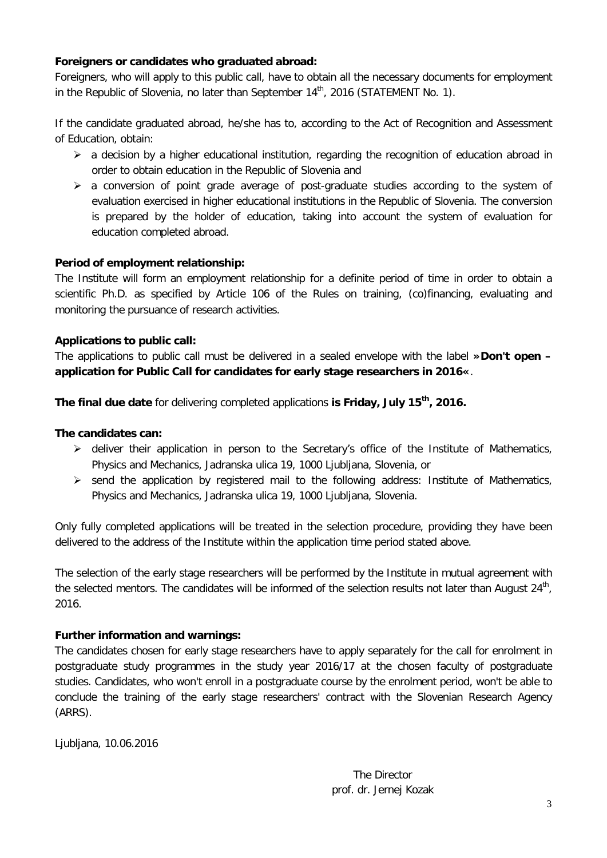### **Foreigners or candidates who graduated abroad:**

Foreigners, who will apply to this public call, have to obtain all the necessary documents for employment in the Republic of Slovenia, no later than September  $14<sup>th</sup>$ , 2016 (STATEMENT No. 1).

If the candidate graduated abroad, he/she has to, according to the Act of Recognition and Assessment of Education, obtain:

- $\triangleright$  a decision by a higher educational institution, regarding the recognition of education abroad in order to obtain education in the Republic of Slovenia and
- $\triangleright$  a conversion of point grade average of post-graduate studies according to the system of evaluation exercised in higher educational institutions in the Republic of Slovenia. The conversion is prepared by the holder of education, taking into account the system of evaluation for education completed abroad.

## **Period of employment relationship:**

The Institute will form an employment relationship for a definite period of time in order to obtain a scientific Ph.D. as specified by Article 106 of the Rules on training, (co)financing, evaluating and monitoring the pursuance of research activities.

## **Applications to public call:**

The applications to public call must be delivered in a sealed envelope with the label **»Don't open – application for Public Call for candidates for early stage researchers in 2016«**.

**The final due date** for delivering completed applications **is Friday, July 15th, 2016.**

### **The candidates can:**

- $\triangleright$  deliver their application in person to the Secretary's office of the Institute of Mathematics, Physics and Mechanics, Jadranska ulica 19, 1000 Ljubljana, Slovenia, or
- $\triangleright$  send the application by registered mail to the following address: Institute of Mathematics, Physics and Mechanics, Jadranska ulica 19, 1000 Ljubljana, Slovenia.

Only fully completed applications will be treated in the selection procedure, providing they have been delivered to the address of the Institute within the application time period stated above.

The selection of the early stage researchers will be performed by the Institute in mutual agreement with the selected mentors. The candidates will be informed of the selection results not later than August 24<sup>th</sup>, 2016.

## **Further information and warnings:**

The candidates chosen for early stage researchers have to apply separately for the call for enrolment in postgraduate study programmes in the study year 2016/17 at the chosen faculty of postgraduate studies. Candidates, who won't enroll in a postgraduate course by the enrolment period, won't be able to conclude the training of the early stage researchers' contract with the Slovenian Research Agency (ARRS).

Ljubljana, 10.06.2016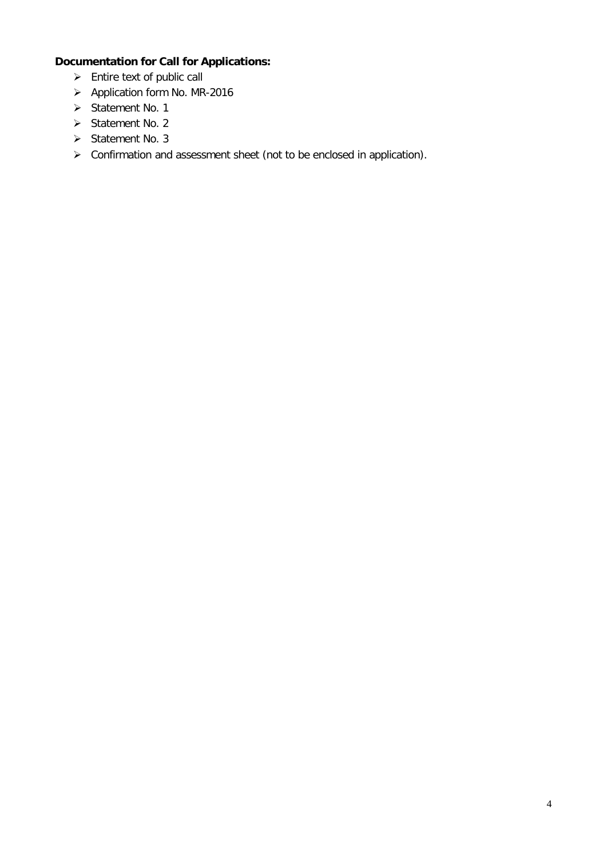# **Documentation for Call for Applications:**

- $\triangleright$  Entire text of public call
- Application form No. MR-2016
- $\triangleright$  Statement No. 1
- $\triangleright$  Statement No. 2
- $\triangleright$  Statement No. 3
- Confirmation and assessment sheet (not to be enclosed in application).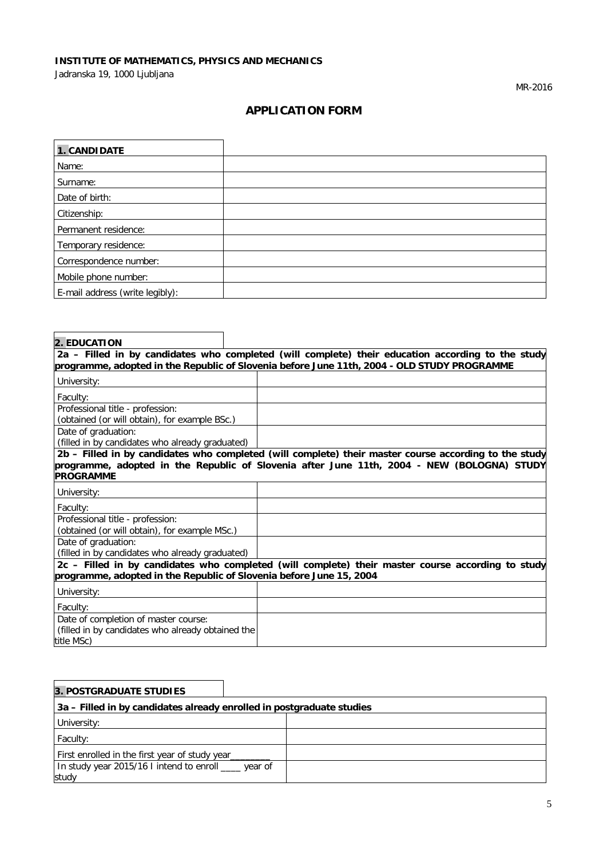# **INSTITUTE OF MATHEMATICS, PHYSICS AND MECHANICS**

Jadranska 19, 1000 Ljubljana

MR-2016

# **APPLICATION FORM**

| 1. CANDIDATE                    |  |
|---------------------------------|--|
| Name:                           |  |
| Surname:                        |  |
| Date of birth:                  |  |
| Citizenship:                    |  |
| Permanent residence:            |  |
| Temporary residence:            |  |
| Correspondence number:          |  |
| Mobile phone number:            |  |
| E-mail address (write legibly): |  |

| <b>2. EDUCATION</b>                                                                         |                                                                                                       |  |  |  |
|---------------------------------------------------------------------------------------------|-------------------------------------------------------------------------------------------------------|--|--|--|
|                                                                                             | 2a - Filled in by candidates who completed (will complete) their education according to the study     |  |  |  |
| programme, adopted in the Republic of Slovenia before June 11th, 2004 - OLD STUDY PROGRAMME |                                                                                                       |  |  |  |
| University:                                                                                 |                                                                                                       |  |  |  |
| Faculty:                                                                                    |                                                                                                       |  |  |  |
| Professional title - profession:                                                            |                                                                                                       |  |  |  |
| (obtained (or will obtain), for example BSc.)                                               |                                                                                                       |  |  |  |
| Date of graduation:                                                                         |                                                                                                       |  |  |  |
| (filled in by candidates who already graduated)                                             |                                                                                                       |  |  |  |
|                                                                                             | 2b - Filled in by candidates who completed (will complete) their master course according to the study |  |  |  |
|                                                                                             | programme, adopted in the Republic of Slovenia after June 11th, 2004 - NEW (BOLOGNA) STUDY            |  |  |  |
| <b>PROGRAMME</b>                                                                            |                                                                                                       |  |  |  |
| University:                                                                                 |                                                                                                       |  |  |  |
| Faculty:                                                                                    |                                                                                                       |  |  |  |
| Professional title - profession:                                                            |                                                                                                       |  |  |  |
| (obtained (or will obtain), for example MSc.)                                               |                                                                                                       |  |  |  |
| Date of graduation:                                                                         |                                                                                                       |  |  |  |
| (filled in by candidates who already graduated)                                             |                                                                                                       |  |  |  |
|                                                                                             | 2c - Filled in by candidates who completed (will complete) their master course according to study     |  |  |  |
| programme, adopted in the Republic of Slovenia before June 15, 2004                         |                                                                                                       |  |  |  |
| University:                                                                                 |                                                                                                       |  |  |  |
| Faculty:                                                                                    |                                                                                                       |  |  |  |
| Date of completion of master course:                                                        |                                                                                                       |  |  |  |
| (filled in by candidates who already obtained the                                           |                                                                                                       |  |  |  |
| title MSc)                                                                                  |                                                                                                       |  |  |  |

| 3. POSTGRADUATE STUDIES                                               |  |  |  |
|-----------------------------------------------------------------------|--|--|--|
| 3a – Filled in by candidates already enrolled in postgraduate studies |  |  |  |
| University:                                                           |  |  |  |
| Faculty:                                                              |  |  |  |
| First enrolled in the first year of study year                        |  |  |  |
| In study year 2015/16 I intend to enroll ___ year of                  |  |  |  |
| study                                                                 |  |  |  |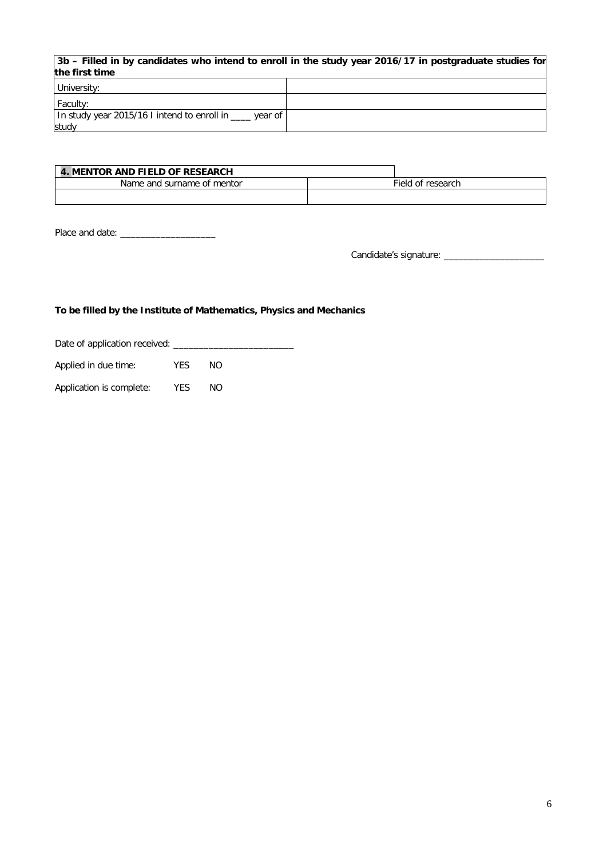| the first time                                           | $ 3b -$ Filled in by candidates who intend to enroll in the study year 2016/17 in postgraduate studies for |
|----------------------------------------------------------|------------------------------------------------------------------------------------------------------------|
| University:                                              |                                                                                                            |
| Faculty:                                                 |                                                                                                            |
| In study year 2015/16 I intend to enroll in ____ year of |                                                                                                            |
| study                                                    |                                                                                                            |

| MENTOR AND FIELD OF RESEARCH |                   |
|------------------------------|-------------------|
| Name and surname of mentor   | Field of research |
|                              |                   |

Place and date: \_\_\_\_\_\_\_\_\_\_\_\_\_\_\_\_\_\_\_

Candidate's signature: \_\_\_\_\_\_\_\_\_\_\_\_\_\_\_\_\_\_\_\_

### **To be filled by the Institute of Mathematics, Physics and Mechanics**

Date of application received: \_\_\_\_\_\_\_\_\_\_\_\_\_\_\_\_\_\_\_\_\_\_\_\_

Applied in due time: YES NO

Application is complete: YES NO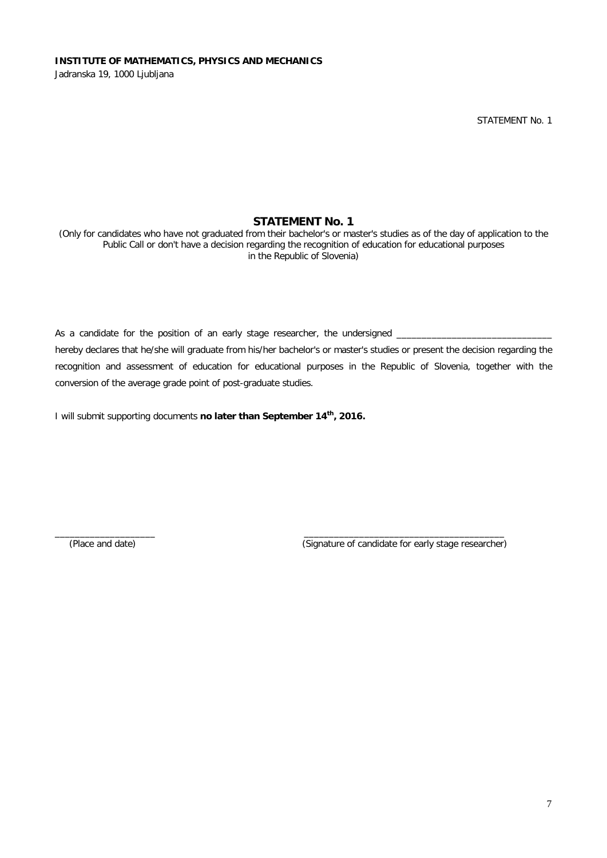STATEMENT No. 1

## **STATEMENT No. 1**

(Only for candidates who have not graduated from their bachelor's or master's studies as of the day of application to the Public Call or don't have a decision regarding the recognition of education for educational purposes in the Republic of Slovenia)

As a candidate for the position of an early stage researcher, the undersigned \_ hereby declares that he/she will graduate from his/her bachelor's or master's studies or present the decision regarding the recognition and assessment of education for educational purposes in the Republic of Slovenia, together with the conversion of the average grade point of post-graduate studies.

\_\_\_\_\_\_\_\_\_\_\_\_\_\_\_\_\_\_\_\_ \_\_\_\_\_\_\_\_\_\_\_\_\_\_\_\_\_\_\_\_\_\_\_\_\_\_\_\_\_\_\_\_\_\_\_\_\_\_\_\_

I will submit supporting documents **no later than September 14th, 2016.**

(Place and date) (Signature of candidate for early stage researcher)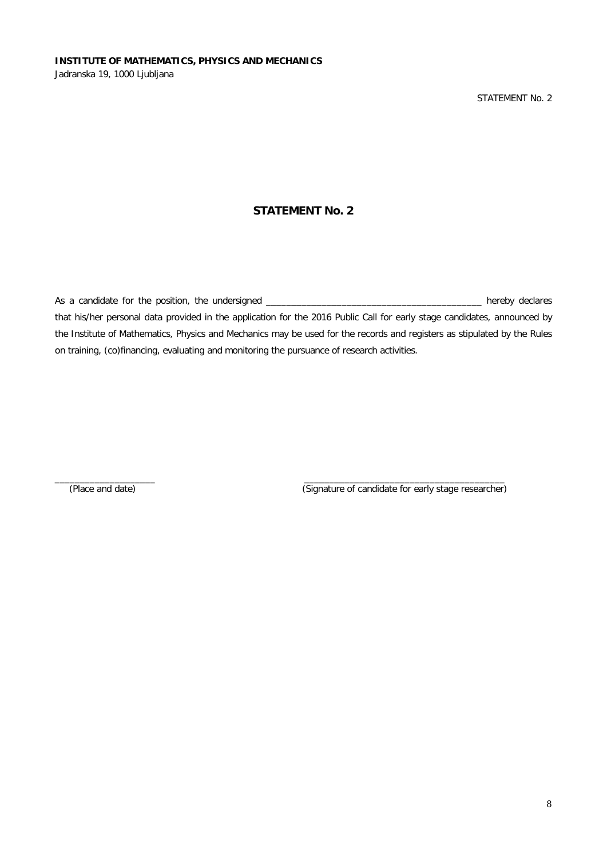## **STATEMENT No. 2**

As a candidate for the position, the undersigned \_\_\_\_\_\_\_\_\_\_\_\_\_\_\_\_\_\_\_\_\_\_\_\_\_\_\_\_\_\_\_\_\_\_\_\_\_\_\_\_\_\_\_ hereby declares that his/her personal data provided in the application for the 2016 Public Call for early stage candidates, announced by the Institute of Mathematics, Physics and Mechanics may be used for the records and registers as stipulated by the Rules on training, (co)financing, evaluating and monitoring the pursuance of research activities.

\_\_\_\_\_\_\_\_\_\_\_\_\_\_\_\_\_\_\_\_ \_\_\_\_\_\_\_\_\_\_\_\_\_\_\_\_\_\_\_\_\_\_\_\_\_\_\_\_\_\_\_\_\_\_\_\_\_\_\_\_ (Place and date) (Signature of candidate for early stage researcher)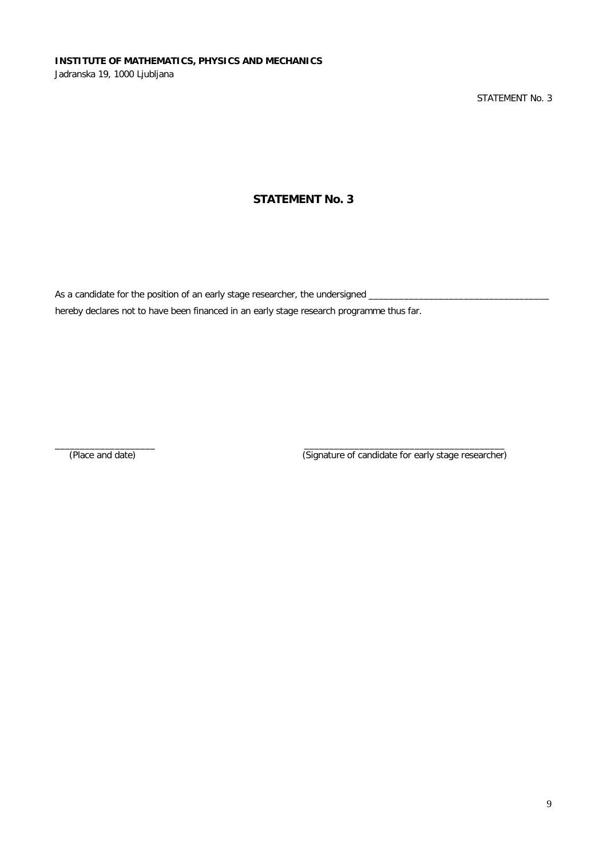STATEMENT No. 3

# **STATEMENT No. 3**

As a candidate for the position of an early stage researcher, the undersigned \_

hereby declares not to have been financed in an early stage research programme thus far.

 $\_$  ,  $\_$  ,  $\_$  ,  $\_$  ,  $\_$  ,  $\_$  ,  $\_$  ,  $\_$  ,  $\_$  ,  $\_$  ,  $\_$  ,  $\_$  ,  $\_$  ,  $\_$  ,  $\_$  ,  $\_$  ,  $\_$  ,  $\_$  ,  $\_$  ,  $\_$  ,  $\_$  ,  $\_$  ,  $\_$  ,  $\_$  ,  $\_$  ,  $\_$  ,  $\_$  ,  $\_$  ,  $\_$  ,  $\_$  ,  $\_$  ,  $\_$  ,  $\_$  ,  $\_$  ,  $\_$  ,  $\_$  ,  $\_$  ,

(Place and date) (Signature of candidate for early stage researcher)